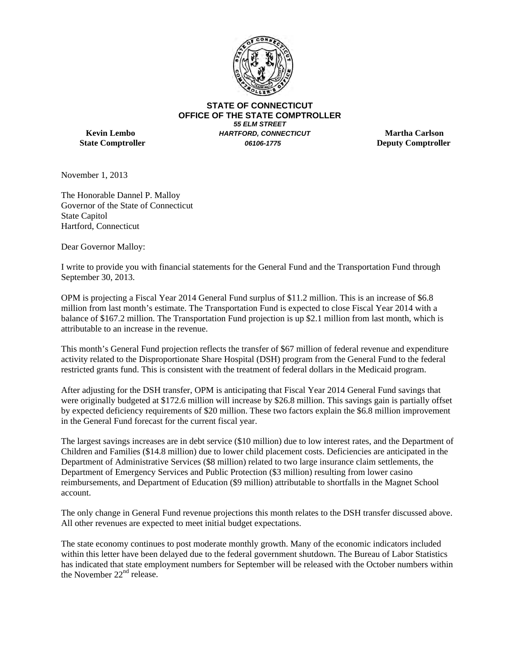

**STATE OF CONNECTICUT OFFICE OF THE STATE COMPTROLLER** *55 ELM STREET* **Kevin Lembo** *HARTFORD, CONNECTICUT* **Martha Carlson State Comptroller** *06106-1775* **Deputy Comptroller**

November 1, 2013

The Honorable Dannel P. Malloy Governor of the State of Connecticut State Capitol Hartford, Connecticut

Dear Governor Malloy:

I write to provide you with financial statements for the General Fund and the Transportation Fund through September 30, 2013.

OPM is projecting a Fiscal Year 2014 General Fund surplus of \$11.2 million. This is an increase of \$6.8 million from last month's estimate. The Transportation Fund is expected to close Fiscal Year 2014 with a balance of \$167.2 million. The Transportation Fund projection is up \$2.1 million from last month, which is attributable to an increase in the revenue.

This month's General Fund projection reflects the transfer of \$67 million of federal revenue and expenditure activity related to the Disproportionate Share Hospital (DSH) program from the General Fund to the federal restricted grants fund. This is consistent with the treatment of federal dollars in the Medicaid program.

After adjusting for the DSH transfer, OPM is anticipating that Fiscal Year 2014 General Fund savings that were originally budgeted at \$172.6 million will increase by \$26.8 million. This savings gain is partially offset by expected deficiency requirements of \$20 million. These two factors explain the \$6.8 million improvement in the General Fund forecast for the current fiscal year.

The largest savings increases are in debt service (\$10 million) due to low interest rates, and the Department of Children and Families (\$14.8 million) due to lower child placement costs. Deficiencies are anticipated in the Department of Administrative Services (\$8 million) related to two large insurance claim settlements, the Department of Emergency Services and Public Protection (\$3 million) resulting from lower casino reimbursements, and Department of Education (\$9 million) attributable to shortfalls in the Magnet School account.

The only change in General Fund revenue projections this month relates to the DSH transfer discussed above. All other revenues are expected to meet initial budget expectations.

The state economy continues to post moderate monthly growth. Many of the economic indicators included within this letter have been delayed due to the federal government shutdown. The Bureau of Labor Statistics has indicated that state employment numbers for September will be released with the October numbers within the November 22<sup>nd</sup> release.